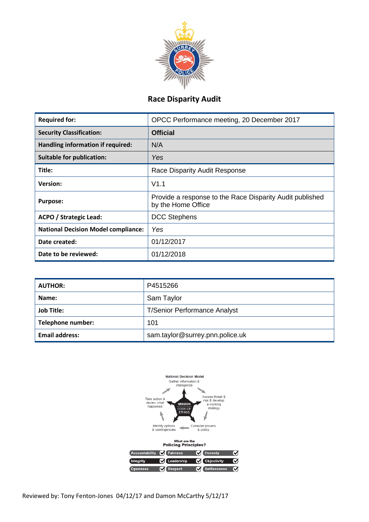

# **Race Disparity Audit**

| <b>Required for:</b>                       | OPCC Performance meeting, 20 December 2017                                     |  |  |
|--------------------------------------------|--------------------------------------------------------------------------------|--|--|
| <b>Security Classification:</b>            | <b>Official</b>                                                                |  |  |
| Handling information if required:          | N/A                                                                            |  |  |
| <b>Suitable for publication:</b>           | Yes                                                                            |  |  |
| Title:                                     | Race Disparity Audit Response                                                  |  |  |
| <b>Version:</b>                            | V1.1                                                                           |  |  |
| <b>Purpose:</b>                            | Provide a response to the Race Disparity Audit published<br>by the Home Office |  |  |
| <b>ACPO / Strategic Lead:</b>              | <b>DCC Stephens</b>                                                            |  |  |
| <b>National Decision Model compliance:</b> | Yes                                                                            |  |  |
| Date created:                              | 01/12/2017                                                                     |  |  |
| Date to be reviewed:                       | 01/12/2018                                                                     |  |  |

| <b>AUTHOR:</b>        | P4515266                            |  |  |
|-----------------------|-------------------------------------|--|--|
| Name:                 | Sam Taylor                          |  |  |
| <b>Job Title:</b>     | <b>T/Senior Performance Analyst</b> |  |  |
| Telephone number:     | 101                                 |  |  |
| <b>Email address:</b> | sam.taylor@surrey.pnn.police.uk     |  |  |



Reviewed by: Tony Fenton-Jones 04/12/17 and Damon McCarthy 5/12/17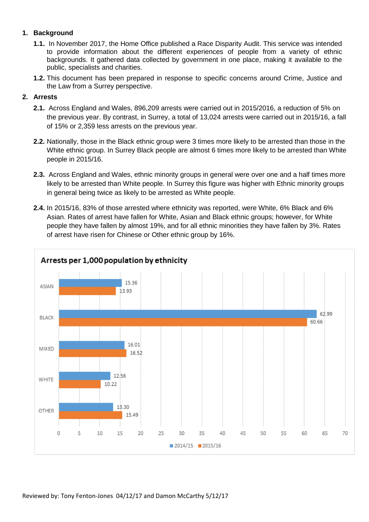# **1. Background**

- **1.1.** In November 2017, the Home Office published a Race Disparity Audit. This service was intended to provide information about the different experiences of people from a variety of ethnic backgrounds. It gathered data collected by government in one place, making it available to the public, specialists and charities.
- **1.2.** This document has been prepared in response to specific concerns around Crime, Justice and the Law from a Surrey perspective.

## **2. Arrests**

- **2.1.** Across England and Wales, 896,209 arrests were carried out in 2015/2016, a reduction of 5% on the previous year. By contrast, in Surrey, a total of 13,024 arrests were carried out in 2015/16, a fall of 15% or 2,359 less arrests on the previous year.
- **2.2.** Nationally, those in the Black ethnic group were 3 times more likely to be arrested than those in the White ethnic group. In Surrey Black people are almost 6 times more likely to be arrested than White people in 2015/16.
- **2.3.** Across England and Wales, ethnic minority groups in general were over one and a half times more likely to be arrested than White people. In Surrey this figure was higher with Ethnic minority groups in general being twice as likely to be arrested as White people.
- **2.4.** In 2015/16, 83% of those arrested where ethnicity was reported, were White, 6% Black and 6% Asian. Rates of arrest have fallen for White, Asian and Black ethnic groups; however, for White people they have fallen by almost 19%, and for all ethnic minorities they have fallen by 3%. Rates of arrest have risen for Chinese or Other ethnic group by 16%.

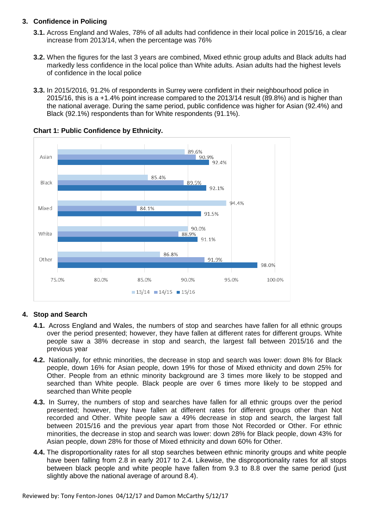## **3. Confidence in Policing**

- **3.1.** Across England and Wales, 78% of all adults had confidence in their local police in 2015/16, a clear increase from 2013/14, when the percentage was 76%
- **3.2.** When the figures for the last 3 years are combined, Mixed ethnic group adults and Black adults had markedly less confidence in the local police than White adults. Asian adults had the highest levels of confidence in the local police
- **3.3.** In 2015/2016, 91.2% of respondents in Surrey were confident in their neighbourhood police in 2015/16, this is a +1.4% point increase compared to the 2013/14 result (89.8%) and is higher than the national average. During the same period, public confidence was higher for Asian (92.4%) and Black (92.1%) respondents than for White respondents (91.1%).



## **Chart 1: Public Confidence by Ethnicity.**

# **4. Stop and Search**

- **4.1.** Across England and Wales, the numbers of stop and searches have fallen for all ethnic groups over the period presented; however, they have fallen at different rates for different groups. White people saw a 38% decrease in stop and search, the largest fall between 2015/16 and the previous year
- **4.2.** Nationally, for ethnic minorities, the decrease in stop and search was lower: down 8% for Black people, down 16% for Asian people, down 19% for those of Mixed ethnicity and down 25% for Other. People from an ethnic minority background are 3 times more likely to be stopped and searched than White people. Black people are over 6 times more likely to be stopped and searched than White people
- **4.3.** In Surrey, the numbers of stop and searches have fallen for all ethnic groups over the period presented; however, they have fallen at different rates for different groups other than Not recorded and Other. White people saw a 49% decrease in stop and search, the largest fall between 2015/16 and the previous year apart from those Not Recorded or Other. For ethnic minorities, the decrease in stop and search was lower: down 28% for Black people, down 43% for Asian people, down 28% for those of Mixed ethnicity and down 60% for Other.
- **4.4.** The disproportionality rates for all stop searches between ethnic minority groups and white people have been falling from 2.8 in early 2017 to 2.4. Likewise, the disproportionality rates for all stops between black people and white people have fallen from 9.3 to 8.8 over the same period (just slightly above the national average of around 8.4).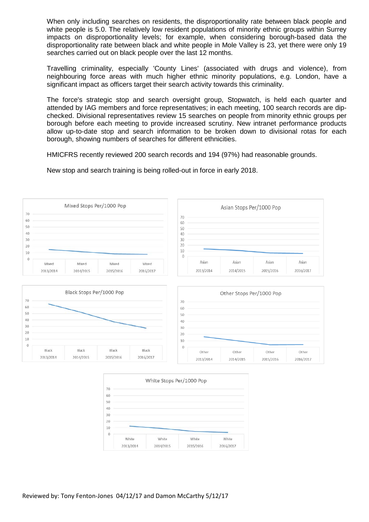When only including searches on residents, the disproportionality rate between black people and white people is 5.0. The relatively low resident populations of minority ethnic groups within Surrey impacts on disproportionality levels; for example, when considering borough-based data the disproportionality rate between black and white people in Mole Valley is 23, yet there were only 19 searches carried out on black people over the last 12 months.

Travelling criminality, especially 'County Lines' (associated with drugs and violence), from neighbouring force areas with much higher ethnic minority populations, e.g. London, have a significant impact as officers target their search activity towards this criminality.

The force's strategic stop and search oversight group, Stopwatch, is held each quarter and attended by IAG members and force representatives; in each meeting, 100 search records are dipchecked. Divisional representatives review 15 searches on people from minority ethnic groups per borough before each meeting to provide increased scrutiny. New intranet performance products allow up-to-date stop and search information to be broken down to divisional rotas for each borough, showing numbers of searches for different ethnicities.

HMICFRS recently reviewed 200 search records and 194 (97%) had reasonable grounds.

New stop and search training is being rolled-out in force in early 2018.





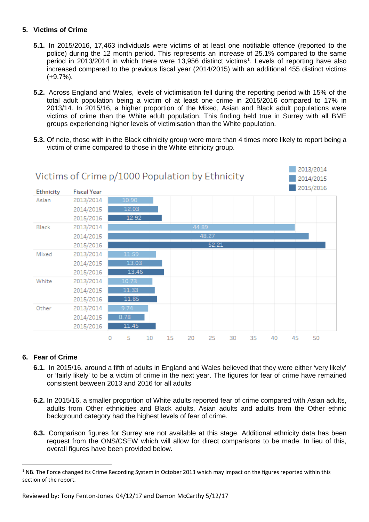## **5. Victims of Crime**

- **5.1.** In 2015/2016, 17,463 individuals were victims of at least one notifiable offence (reported to the police) during the 12 month period. This represents an increase of 25.1% compared to the same period in 20[1](#page-4-0)3/2014 in which there were 13,956 distinct victims<sup>1</sup>. Levels of reporting have also increased compared to the previous fiscal year (2014/2015) with an additional 455 distinct victims (+9.7%).
- **5.2.** Across England and Wales, levels of victimisation fell during the reporting period with 15% of the total adult population being a victim of at least one crime in 2015/2016 compared to 17% in 2013/14. In 2015/16, a higher proportion of the Mixed, Asian and Black adult populations were victims of crime than the White adult population. This finding held true in Surrey with all BME groups experiencing higher levels of victimisation than the White population.
- **5.3.** Of note, those with in the Black ethnicity group were more than 4 times more likely to report being a victim of crime compared to those in the White ethnicity group.



# **6. Fear of Crime**

- **6.1.** In 2015/16, around a fifth of adults in England and Wales believed that they were either 'very likely' or 'fairly likely' to be a victim of crime in the next year. The figures for fear of crime have remained consistent between 2013 and 2016 for all adults
- **6.2.** In 2015/16, a smaller proportion of White adults reported fear of crime compared with Asian adults, adults from Other ethnicities and Black adults. Asian adults and adults from the Other ethnic background category had the highest levels of fear of crime.
- **6.3.** Comparison figures for Surrey are not available at this stage. Additional ethnicity data has been request from the ONS/CSEW which will allow for direct comparisons to be made. In lieu of this, overall figures have been provided below.

<span id="page-4-0"></span><sup>&</sup>lt;sup>1</sup> NB. The Force changed its Crime Recording System in October 2013 which may impact on the figures reported within this section of the report.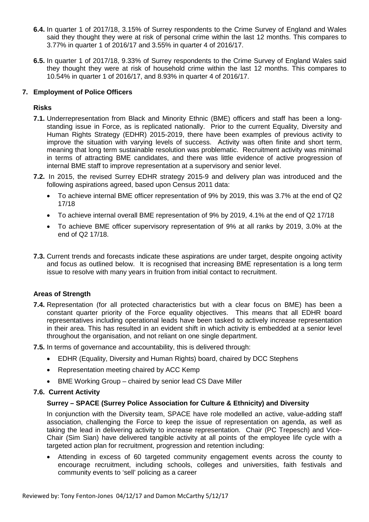- **6.4.** In quarter 1 of 2017/18, 3.15% of Surrey respondents to the Crime Survey of England and Wales said they thought they were at risk of personal crime within the last 12 months. This compares to 3.77% in quarter 1 of 2016/17 and 3.55% in quarter 4 of 2016/17.
- **6.5.** In quarter 1 of 2017/18, 9.33% of Surrey respondents to the Crime Survey of England Wales said they thought they were at risk of household crime within the last 12 months. This compares to 10.54% in quarter 1 of 2016/17, and 8.93% in quarter 4 of 2016/17.

## **7. Employment of Police Officers**

## **Risks**

- **7.1.** Underrepresentation from Black and Minority Ethnic (BME) officers and staff has been a longstanding issue in Force, as is replicated nationally. Prior to the current Equality, Diversity and Human Rights Strategy (EDHR) 2015-2019, there have been examples of previous activity to improve the situation with varying levels of success. Activity was often finite and short term, meaning that long term sustainable resolution was problematic. Recruitment activity was minimal in terms of attracting BME candidates, and there was little evidence of active progression of internal BME staff to improve representation at a supervisory and senior level.
- **7.2.** In 2015, the revised Surrey EDHR strategy 2015-9 and delivery plan was introduced and the following aspirations agreed, based upon Census 2011 data:
	- To achieve internal BME officer representation of 9% by 2019, this was 3.7% at the end of Q2 17/18
	- To achieve internal overall BME representation of 9% by 2019, 4.1% at the end of Q2 17/18
	- To achieve BME officer supervisory representation of 9% at all ranks by 2019, 3.0% at the end of Q2 17/18.
- **7.3.** Current trends and forecasts indicate these aspirations are under target, despite ongoing activity and focus as outlined below. It is recognised that increasing BME representation is a long term issue to resolve with many years in fruition from initial contact to recruitment.

## **Areas of Strength**

- **7.4.** Representation (for all protected characteristics but with a clear focus on BME) has been a constant quarter priority of the Force equality objectives. This means that all EDHR board representatives including operational leads have been tasked to actively increase representation in their area. This has resulted in an evident shift in which activity is embedded at a senior level throughout the organisation, and not reliant on one single department.
- **7.5.** In terms of governance and accountability, this is delivered through:
	- EDHR (Equality, Diversity and Human Rights) board, chaired by DCC Stephens
	- Representation meeting chaired by ACC Kemp
	- BME Working Group chaired by senior lead CS Dave Miller

## **7.6. Current Activity**

## **Surrey – SPACE (Surrey Police Association for Culture & Ethnicity) and Diversity**

In conjunction with the Diversity team, SPACE have role modelled an active, value-adding staff association, challenging the Force to keep the issue of representation on agenda, as well as taking the lead in delivering activity to increase representation. Chair (PC Trepesch) and Vice-Chair (Sim Sian) have delivered tangible activity at all points of the employee life cycle with a targeted action plan for recruitment, progression and retention including:

• Attending in excess of 60 targeted community engagement events across the county to encourage recruitment, including schools, colleges and universities, faith festivals and community events to 'sell' policing as a career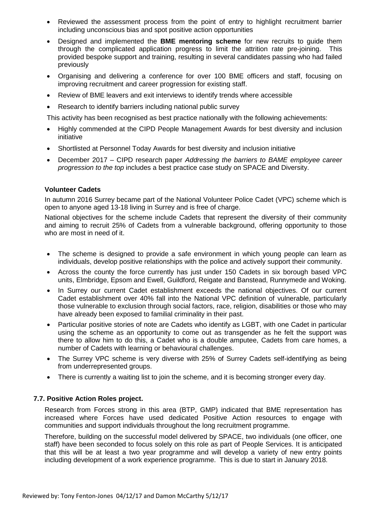- Reviewed the assessment process from the point of entry to highlight recruitment barrier including unconscious bias and spot positive action opportunities
- Designed and implemented the **BME mentoring scheme** for new recruits to guide them through the complicated application progress to limit the attrition rate pre-joining. This provided bespoke support and training, resulting in several candidates passing who had failed previously
- Organising and delivering a conference for over 100 BME officers and staff, focusing on improving recruitment and career progression for existing staff.
- Review of BME leavers and exit interviews to identify trends where accessible
- Research to identify barriers including national public survey

This activity has been recognised as best practice nationally with the following achievements:

- Highly commended at the CIPD People Management Awards for best diversity and inclusion initiative
- Shortlisted at Personnel Today Awards for best diversity and inclusion initiative
- December 2017 CIPD research paper *Addressing the barriers to BAME employee career progression to the top* includes a best practice case study on SPACE and Diversity.

#### **Volunteer Cadets**

In autumn 2016 Surrey became part of the National Volunteer Police Cadet (VPC) scheme which is open to anyone aged 13-18 living in Surrey and is free of charge.

National objectives for the scheme include Cadets that represent the diversity of their community and aiming to recruit 25% of Cadets from a vulnerable background, offering opportunity to those who are most in need of it.

- The scheme is designed to provide a safe environment in which young people can learn as individuals, develop positive relationships with the police and actively support their community.
- Across the county the force currently has just under 150 Cadets in six borough based VPC units, Elmbridge, Epsom and Ewell, Guildford, Reigate and Banstead, Runnymede and Woking.
- In Surrey our current Cadet establishment exceeds the national objectives. Of our current Cadet establishment over 40% fall into the National VPC definition of vulnerable, particularly those vulnerable to exclusion through social factors, race, religion, disabilities or those who may have already been exposed to familial criminality in their past.
- Particular positive stories of note are Cadets who identify as LGBT, with one Cadet in particular using the scheme as an opportunity to come out as transgender as he felt the support was there to allow him to do this, a Cadet who is a double amputee, Cadets from care homes, a number of Cadets with learning or behavioural challenges.
- The Surrey VPC scheme is very diverse with 25% of Surrey Cadets self-identifying as being from underrepresented groups.
- There is currently a waiting list to join the scheme, and it is becoming stronger every day.

#### **7.7. Positive Action Roles project.**

Research from Forces strong in this area (BTP, GMP) indicated that BME representation has increased where Forces have used dedicated Positive Action resources to engage with communities and support individuals throughout the long recruitment programme.

Therefore, building on the successful model delivered by SPACE, two individuals (one officer, one staff) have been seconded to focus solely on this role as part of People Services. It is anticipated that this will be at least a two year programme and will develop a variety of new entry points including development of a work experience programme. This is due to start in January 2018.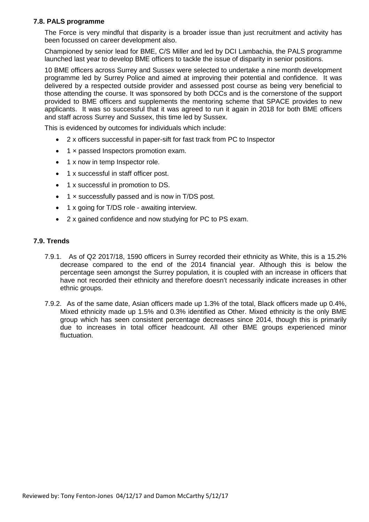#### **7.8. PALS programme**

The Force is very mindful that disparity is a broader issue than just recruitment and activity has been focussed on career development also.

Championed by senior lead for BME, C/S Miller and led by DCI Lambachia, the PALS programme launched last year to develop BME officers to tackle the issue of disparity in senior positions.

10 BME officers across Surrey and Sussex were selected to undertake a nine month development programme led by Surrey Police and aimed at improving their potential and confidence. It was delivered by a respected outside provider and assessed post course as being very beneficial to those attending the course. It was sponsored by both DCCs and is the cornerstone of the support provided to BME officers and supplements the mentoring scheme that SPACE provides to new applicants. It was so successful that it was agreed to run it again in 2018 for both BME officers and staff across Surrey and Sussex, this time led by Sussex.

This is evidenced by outcomes for individuals which include:

- 2 x officers successful in paper-sift for fast track from PC to Inspector
- 1 x passed Inspectors promotion exam.
- 1 x now in temp Inspector role.
- 1 x successful in staff officer post.
- 1 x successful in promotion to DS.
- 1 × successfully passed and is now in T/DS post.
- 1 x going for T/DS role awaiting interview.
- 2 x gained confidence and now studying for PC to PS exam.

#### **7.9. Trends**

- 7.9.1. As of Q2 2017/18, 1590 officers in Surrey recorded their ethnicity as White, this is a 15.2% decrease compared to the end of the 2014 financial year. Although this is below the percentage seen amongst the Surrey population, it is coupled with an increase in officers that have not recorded their ethnicity and therefore doesn't necessarily indicate increases in other ethnic groups.
- 7.9.2. As of the same date, Asian officers made up 1.3% of the total, Black officers made up 0.4%, Mixed ethnicity made up 1.5% and 0.3% identified as Other. Mixed ethnicity is the only BME group which has seen consistent percentage decreases since 2014, though this is primarily due to increases in total officer headcount. All other BME groups experienced minor fluctuation.